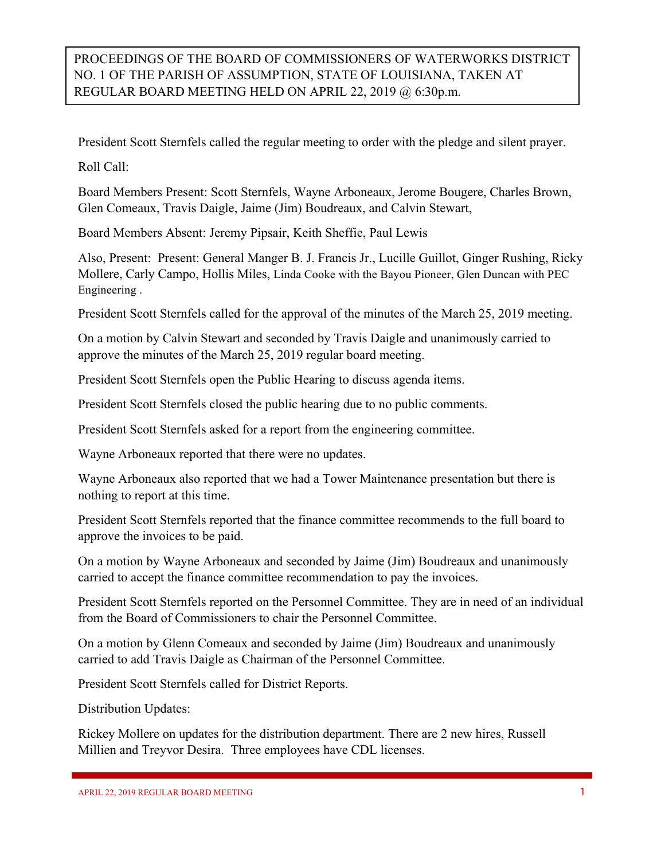## PROCEEDINGS OF THE BOARD OF COMMISSIONERS OF WATERWORKS DISTRICT NO. 1 OF THE PARISH OF ASSUMPTION, STATE OF LOUISIANA, TAKEN AT REGULAR BOARD MEETING HELD ON APRIL 22, 2019 @ 6:30p.m.

President Scott Sternfels called the regular meeting to order with the pledge and silent prayer.

Roll Call:

Board Members Present: Scott Sternfels, Wayne Arboneaux, Jerome Bougere, Charles Brown, Glen Comeaux, Travis Daigle, Jaime (Jim) Boudreaux, and Calvin Stewart,

Board Members Absent: Jeremy Pipsair, Keith Sheffie, Paul Lewis

Also, Present: Present: General Manger B. J. Francis Jr., Lucille Guillot, Ginger Rushing, Ricky Mollere, Carly Campo, Hollis Miles, Linda Cooke with the Bayou Pioneer, Glen Duncan with PEC Engineering .

President Scott Sternfels called for the approval of the minutes of the March 25, 2019 meeting.

On a motion by Calvin Stewart and seconded by Travis Daigle and unanimously carried to approve the minutes of the March 25, 2019 regular board meeting.

President Scott Sternfels open the Public Hearing to discuss agenda items.

President Scott Sternfels closed the public hearing due to no public comments.

President Scott Sternfels asked for a report from the engineering committee.

Wayne Arboneaux reported that there were no updates.

Wayne Arboneaux also reported that we had a Tower Maintenance presentation but there is nothing to report at this time.

President Scott Sternfels reported that the finance committee recommends to the full board to approve the invoices to be paid.

On a motion by Wayne Arboneaux and seconded by Jaime (Jim) Boudreaux and unanimously carried to accept the finance committee recommendation to pay the invoices.

President Scott Sternfels reported on the Personnel Committee. They are in need of an individual from the Board of Commissioners to chair the Personnel Committee.

On a motion by Glenn Comeaux and seconded by Jaime (Jim) Boudreaux and unanimously carried to add Travis Daigle as Chairman of the Personnel Committee.

President Scott Sternfels called for District Reports.

Distribution Updates:

Rickey Mollere on updates for the distribution department. There are 2 new hires, Russell Millien and Treyvor Desira. Three employees have CDL licenses.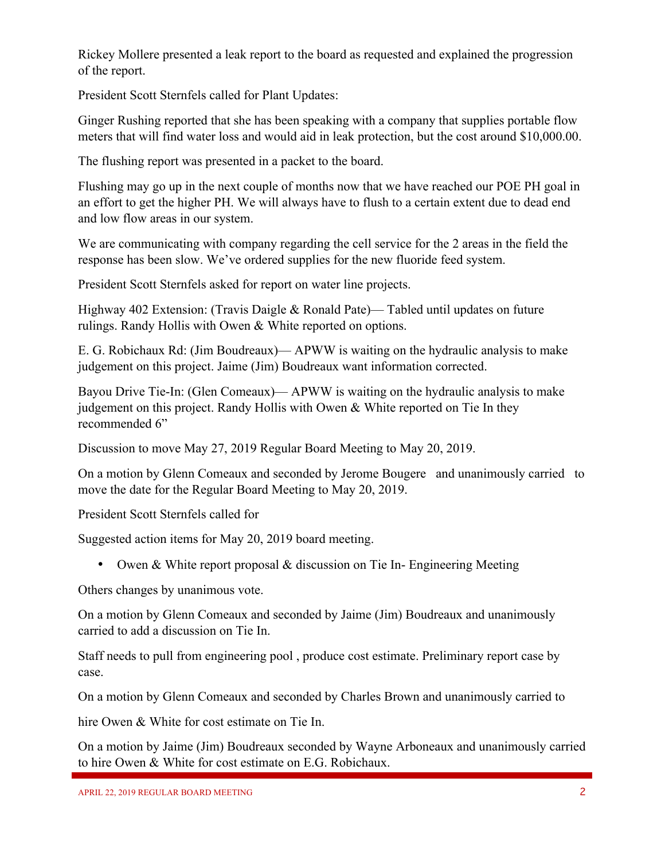Rickey Mollere presented a leak report to the board as requested and explained the progression of the report.

President Scott Sternfels called for Plant Updates:

Ginger Rushing reported that she has been speaking with a company that supplies portable flow meters that will find water loss and would aid in leak protection, but the cost around \$10,000.00.

The flushing report was presented in a packet to the board.

Flushing may go up in the next couple of months now that we have reached our POE PH goal in an effort to get the higher PH. We will always have to flush to a certain extent due to dead end and low flow areas in our system.

We are communicating with company regarding the cell service for the 2 areas in the field the response has been slow. We've ordered supplies for the new fluoride feed system.

President Scott Sternfels asked for report on water line projects.

Highway 402 Extension: (Travis Daigle & Ronald Pate)— Tabled until updates on future rulings. Randy Hollis with Owen & White reported on options.

E. G. Robichaux Rd: (Jim Boudreaux)— APWW is waiting on the hydraulic analysis to make judgement on this project. Jaime (Jim) Boudreaux want information corrected.

Bayou Drive Tie-In: (Glen Comeaux)— APWW is waiting on the hydraulic analysis to make judgement on this project. Randy Hollis with Owen & White reported on Tie In they recommended 6"

Discussion to move May 27, 2019 Regular Board Meeting to May 20, 2019.

On a motion by Glenn Comeaux and seconded by Jerome Bougere and unanimously carried to move the date for the Regular Board Meeting to May 20, 2019.

President Scott Sternfels called for

Suggested action items for May 20, 2019 board meeting.

• Owen & White report proposal & discussion on Tie In- Engineering Meeting

Others changes by unanimous vote.

On a motion by Glenn Comeaux and seconded by Jaime (Jim) Boudreaux and unanimously carried to add a discussion on Tie In.

Staff needs to pull from engineering pool , produce cost estimate. Preliminary report case by case.

On a motion by Glenn Comeaux and seconded by Charles Brown and unanimously carried to

hire Owen & White for cost estimate on Tie In.

On a motion by Jaime (Jim) Boudreaux seconded by Wayne Arboneaux and unanimously carried to hire Owen & White for cost estimate on E.G. Robichaux.